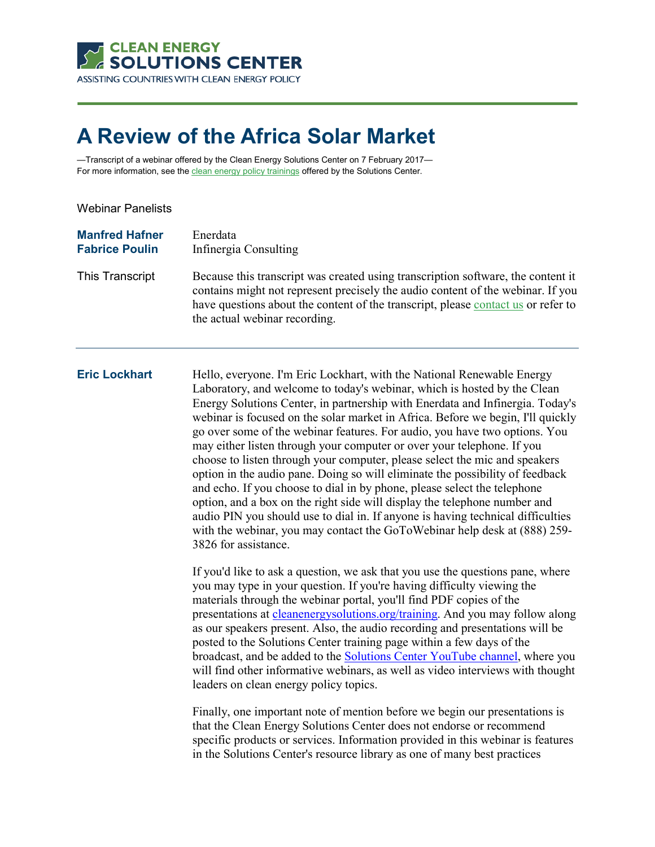

# **A Review of the Africa Solar Market**

—Transcript of a webinar offered by the Clean Energy Solutions Center on 7 February 2017 For more information, see th[e clean energy policy trainings](https://cleanenergysolutions.org/training) offered by the Solutions Center.

Webinar Panelists

| <b>Manfred Hafner</b> | Enerdata                                                                                                                                                                                                                                                                                  |
|-----------------------|-------------------------------------------------------------------------------------------------------------------------------------------------------------------------------------------------------------------------------------------------------------------------------------------|
| <b>Fabrice Poulin</b> | Infinergia Consulting                                                                                                                                                                                                                                                                     |
| This Transcript       | Because this transcript was created using transcription software, the content it<br>contains might not represent precisely the audio content of the webinar. If you<br>have questions about the content of the transcript, please contact us or refer to<br>the actual webinar recording. |

**Eric Lockhart** Hello, everyone. I'm Eric Lockhart, with the National Renewable Energy Laboratory, and welcome to today's webinar, which is hosted by the Clean Energy Solutions Center, in partnership with Enerdata and Infinergia. Today's webinar is focused on the solar market in Africa. Before we begin, I'll quickly go over some of the webinar features. For audio, you have two options. You may either listen through your computer or over your telephone. If you choose to listen through your computer, please select the mic and speakers option in the audio pane. Doing so will eliminate the possibility of feedback and echo. If you choose to dial in by phone, please select the telephone option, and a box on the right side will display the telephone number and audio PIN you should use to dial in. If anyone is having technical difficulties with the webinar, you may contact the GoToWebinar help desk at (888) 259- 3826 for assistance.

> If you'd like to ask a question, we ask that you use the questions pane, where you may type in your question. If you're having difficulty viewing the materials through the webinar portal, you'll find PDF copies of the presentations at [cleanenergysolutions.org/training.](https://cleanenergysolutions.org/training) And you may follow along as our speakers present. Also, the audio recording and presentations will be posted to the Solutions Center training page within a few days of the broadcast, and be added to the [Solutions Center YouTube channel,](https://www.youtube.com/user/cleanenergypolicy) where you will find other informative webinars, as well as video interviews with thought leaders on clean energy policy topics.

> Finally, one important note of mention before we begin our presentations is that the Clean Energy Solutions Center does not endorse or recommend specific products or services. Information provided in this webinar is features in the Solutions Center's resource library as one of many best practices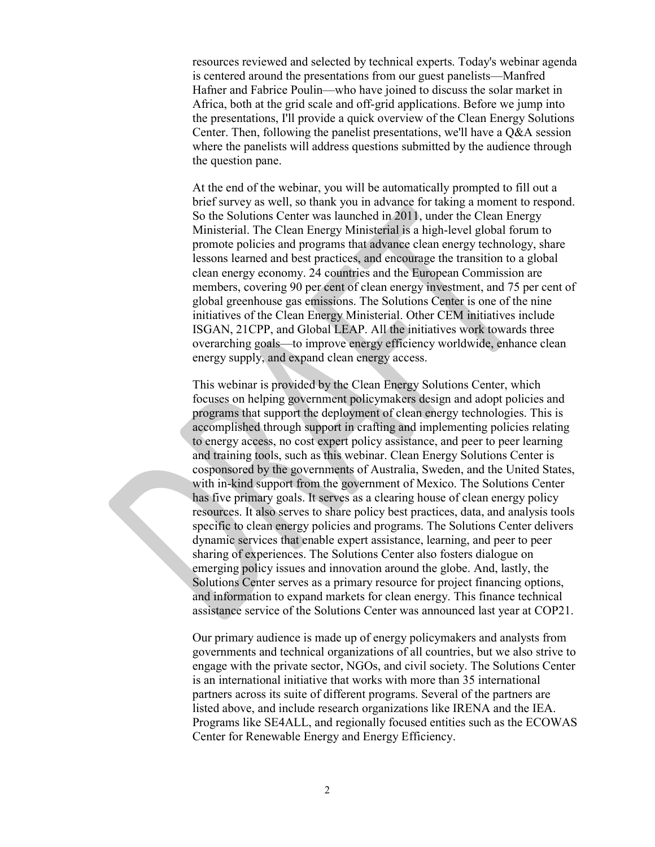resources reviewed and selected by technical experts. Today's webinar agenda is centered around the presentations from our guest panelists—Manfred Hafner and Fabrice Poulin—who have joined to discuss the solar market in Africa, both at the grid scale and off-grid applications. Before we jump into the presentations, I'll provide a quick overview of the Clean Energy Solutions Center. Then, following the panelist presentations, we'll have a Q&A session where the panelists will address questions submitted by the audience through the question pane.

At the end of the webinar, you will be automatically prompted to fill out a brief survey as well, so thank you in advance for taking a moment to respond. So the Solutions Center was launched in 2011, under the Clean Energy Ministerial. The Clean Energy Ministerial is a high-level global forum to promote policies and programs that advance clean energy technology, share lessons learned and best practices, and encourage the transition to a global clean energy economy. 24 countries and the European Commission are members, covering 90 per cent of clean energy investment, and 75 per cent of global greenhouse gas emissions. The Solutions Center is one of the nine initiatives of the Clean Energy Ministerial. Other CEM initiatives include ISGAN, 21CPP, and Global LEAP. All the initiatives work towards three overarching goals—to improve energy efficiency worldwide, enhance clean energy supply, and expand clean energy access.

This webinar is provided by the Clean Energy Solutions Center, which focuses on helping government policymakers design and adopt policies and programs that support the deployment of clean energy technologies. This is accomplished through support in crafting and implementing policies relating to energy access, no cost expert policy assistance, and peer to peer learning and training tools, such as this webinar. Clean Energy Solutions Center is cosponsored by the governments of Australia, Sweden, and the United States, with in-kind support from the government of Mexico. The Solutions Center has five primary goals. It serves as a clearing house of clean energy policy resources. It also serves to share policy best practices, data, and analysis tools specific to clean energy policies and programs. The Solutions Center delivers dynamic services that enable expert assistance, learning, and peer to peer sharing of experiences. The Solutions Center also fosters dialogue on emerging policy issues and innovation around the globe. And, lastly, the Solutions Center serves as a primary resource for project financing options, and information to expand markets for clean energy. This finance technical assistance service of the Solutions Center was announced last year at COP21.

Our primary audience is made up of energy policymakers and analysts from governments and technical organizations of all countries, but we also strive to engage with the private sector, NGOs, and civil society. The Solutions Center is an international initiative that works with more than 35 international partners across its suite of different programs. Several of the partners are listed above, and include research organizations like IRENA and the IEA. Programs like SE4ALL, and regionally focused entities such as the ECOWAS Center for Renewable Energy and Energy Efficiency.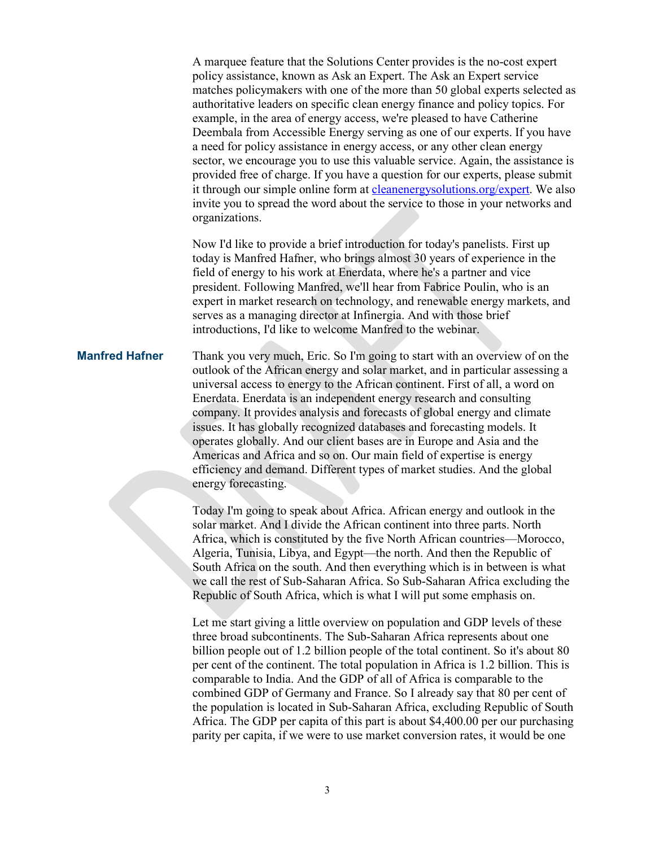A marquee feature that the Solutions Center provides is the no-cost expert policy assistance, known as Ask an Expert. The Ask an Expert service matches policymakers with one of the more than 50 global experts selected as authoritative leaders on specific clean energy finance and policy topics. For example, in the area of energy access, we're pleased to have Catherine Deembala from Accessible Energy serving as one of our experts. If you have a need for policy assistance in energy access, or any other clean energy sector, we encourage you to use this valuable service. Again, the assistance is provided free of charge. If you have a question for our experts, please submit it through our simple online form at [cleanenergysolutions.org/expert.](https://cleanenergysolutions.org/expert) We also invite you to spread the word about the service to those in your networks and organizations.

Now I'd like to provide a brief introduction for today's panelists. First up today is Manfred Hafner, who brings almost 30 years of experience in the field of energy to his work at Enerdata, where he's a partner and vice president. Following Manfred, we'll hear from Fabrice Poulin, who is an expert in market research on technology, and renewable energy markets, and serves as a managing director at Infinergia. And with those brief introductions, I'd like to welcome Manfred to the webinar.

## **Manfred Hafner** Thank you very much, Eric. So I'm going to start with an overview of on the outlook of the African energy and solar market, and in particular assessing a universal access to energy to the African continent. First of all, a word on Enerdata. Enerdata is an independent energy research and consulting company. It provides analysis and forecasts of global energy and climate issues. It has globally recognized databases and forecasting models. It operates globally. And our client bases are in Europe and Asia and the Americas and Africa and so on. Our main field of expertise is energy efficiency and demand. Different types of market studies. And the global energy forecasting.

Today I'm going to speak about Africa. African energy and outlook in the solar market. And I divide the African continent into three parts. North Africa, which is constituted by the five North African countries—Morocco, Algeria, Tunisia, Libya, and Egypt—the north. And then the Republic of South Africa on the south. And then everything which is in between is what we call the rest of Sub-Saharan Africa. So Sub-Saharan Africa excluding the Republic of South Africa, which is what I will put some emphasis on.

Let me start giving a little overview on population and GDP levels of these three broad subcontinents. The Sub-Saharan Africa represents about one billion people out of 1.2 billion people of the total continent. So it's about 80 per cent of the continent. The total population in Africa is 1.2 billion. This is comparable to India. And the GDP of all of Africa is comparable to the combined GDP of Germany and France. So I already say that 80 per cent of the population is located in Sub-Saharan Africa, excluding Republic of South Africa. The GDP per capita of this part is about \$4,400.00 per our purchasing parity per capita, if we were to use market conversion rates, it would be one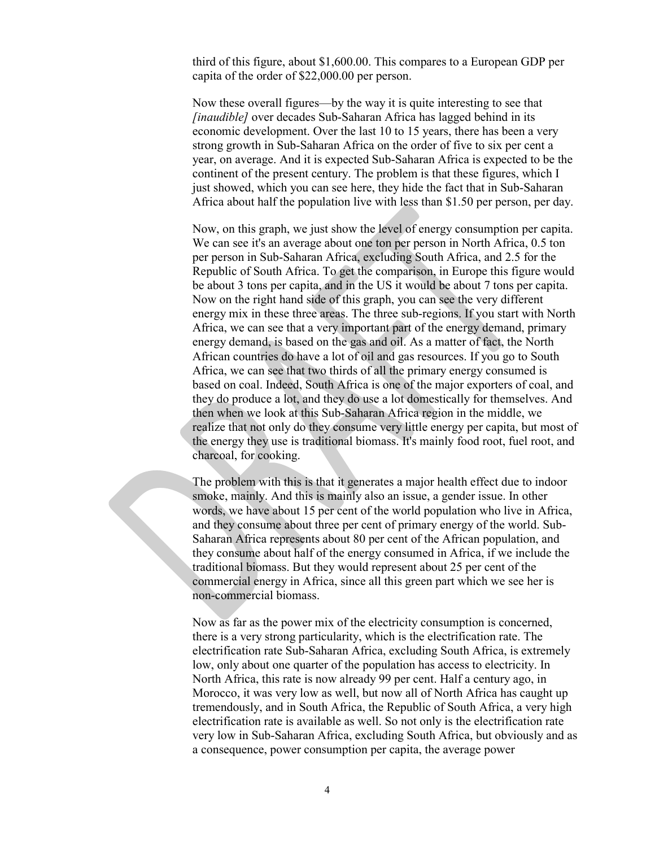third of this figure, about \$1,600.00. This compares to a European GDP per capita of the order of \$22,000.00 per person.

Now these overall figures—by the way it is quite interesting to see that *[inaudible]* over decades Sub-Saharan Africa has lagged behind in its economic development. Over the last 10 to 15 years, there has been a very strong growth in Sub-Saharan Africa on the order of five to six per cent a year, on average. And it is expected Sub-Saharan Africa is expected to be the continent of the present century. The problem is that these figures, which I just showed, which you can see here, they hide the fact that in Sub-Saharan Africa about half the population live with less than \$1.50 per person, per day.

Now, on this graph, we just show the level of energy consumption per capita. We can see it's an average about one ton per person in North Africa, 0.5 ton per person in Sub-Saharan Africa, excluding South Africa, and 2.5 for the Republic of South Africa. To get the comparison, in Europe this figure would be about 3 tons per capita, and in the US it would be about 7 tons per capita. Now on the right hand side of this graph, you can see the very different energy mix in these three areas. The three sub-regions. If you start with North Africa, we can see that a very important part of the energy demand, primary energy demand, is based on the gas and oil. As a matter of fact, the North African countries do have a lot of oil and gas resources. If you go to South Africa, we can see that two thirds of all the primary energy consumed is based on coal. Indeed, South Africa is one of the major exporters of coal, and they do produce a lot, and they do use a lot domestically for themselves. And then when we look at this Sub-Saharan Africa region in the middle, we realize that not only do they consume very little energy per capita, but most of the energy they use is traditional biomass. It's mainly food root, fuel root, and charcoal, for cooking.

The problem with this is that it generates a major health effect due to indoor smoke, mainly. And this is mainly also an issue, a gender issue. In other words, we have about 15 per cent of the world population who live in Africa, and they consume about three per cent of primary energy of the world. Sub-Saharan Africa represents about 80 per cent of the African population, and they consume about half of the energy consumed in Africa, if we include the traditional biomass. But they would represent about 25 per cent of the commercial energy in Africa, since all this green part which we see her is non-commercial biomass.

Now as far as the power mix of the electricity consumption is concerned, there is a very strong particularity, which is the electrification rate. The electrification rate Sub-Saharan Africa, excluding South Africa, is extremely low, only about one quarter of the population has access to electricity. In North Africa, this rate is now already 99 per cent. Half a century ago, in Morocco, it was very low as well, but now all of North Africa has caught up tremendously, and in South Africa, the Republic of South Africa, a very high electrification rate is available as well. So not only is the electrification rate very low in Sub-Saharan Africa, excluding South Africa, but obviously and as a consequence, power consumption per capita, the average power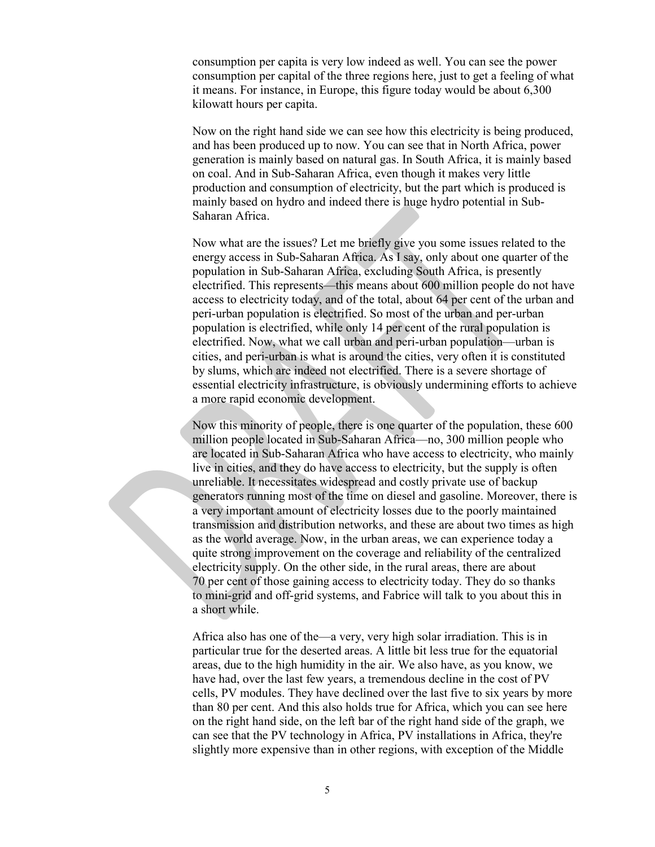consumption per capita is very low indeed as well. You can see the power consumption per capital of the three regions here, just to get a feeling of what it means. For instance, in Europe, this figure today would be about 6,300 kilowatt hours per capita.

Now on the right hand side we can see how this electricity is being produced, and has been produced up to now. You can see that in North Africa, power generation is mainly based on natural gas. In South Africa, it is mainly based on coal. And in Sub-Saharan Africa, even though it makes very little production and consumption of electricity, but the part which is produced is mainly based on hydro and indeed there is huge hydro potential in Sub-Saharan Africa.

Now what are the issues? Let me briefly give you some issues related to the energy access in Sub-Saharan Africa. As I say, only about one quarter of the population in Sub-Saharan Africa, excluding South Africa, is presently electrified. This represents—this means about 600 million people do not have access to electricity today, and of the total, about 64 per cent of the urban and peri-urban population is electrified. So most of the urban and per-urban population is electrified, while only 14 per cent of the rural population is electrified. Now, what we call urban and peri-urban population—urban is cities, and peri-urban is what is around the cities, very often it is constituted by slums, which are indeed not electrified. There is a severe shortage of essential electricity infrastructure, is obviously undermining efforts to achieve a more rapid economic development.

Now this minority of people, there is one quarter of the population, these 600 million people located in Sub-Saharan Africa—no, 300 million people who are located in Sub-Saharan Africa who have access to electricity, who mainly live in cities, and they do have access to electricity, but the supply is often unreliable. It necessitates widespread and costly private use of backup generators running most of the time on diesel and gasoline. Moreover, there is a very important amount of electricity losses due to the poorly maintained transmission and distribution networks, and these are about two times as high as the world average. Now, in the urban areas, we can experience today a quite strong improvement on the coverage and reliability of the centralized electricity supply. On the other side, in the rural areas, there are about 70 per cent of those gaining access to electricity today. They do so thanks to mini-grid and off-grid systems, and Fabrice will talk to you about this in a short while.

Africa also has one of the—a very, very high solar irradiation. This is in particular true for the deserted areas. A little bit less true for the equatorial areas, due to the high humidity in the air. We also have, as you know, we have had, over the last few years, a tremendous decline in the cost of PV cells, PV modules. They have declined over the last five to six years by more than 80 per cent. And this also holds true for Africa, which you can see here on the right hand side, on the left bar of the right hand side of the graph, we can see that the PV technology in Africa, PV installations in Africa, they're slightly more expensive than in other regions, with exception of the Middle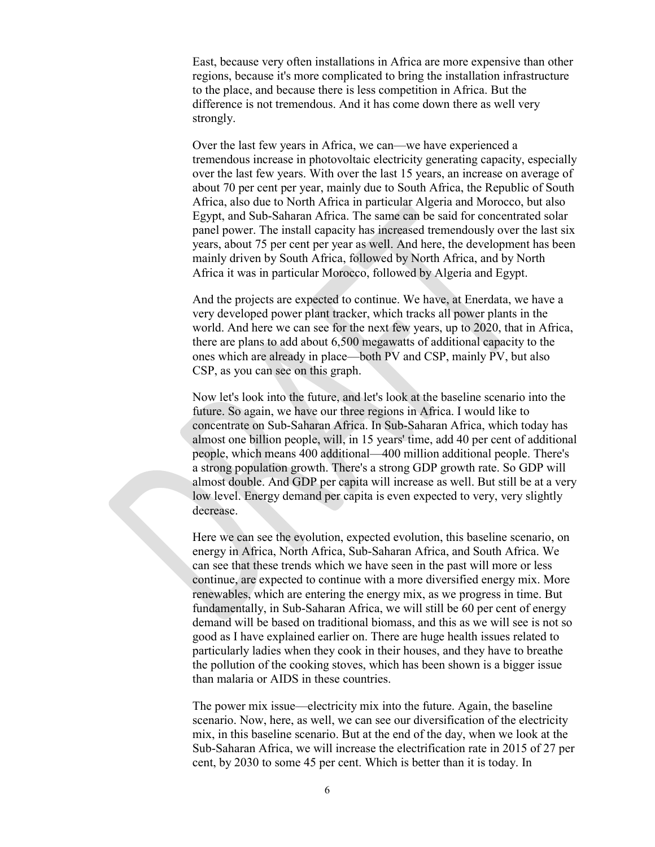East, because very often installations in Africa are more expensive than other regions, because it's more complicated to bring the installation infrastructure to the place, and because there is less competition in Africa. But the difference is not tremendous. And it has come down there as well very strongly.

Over the last few years in Africa, we can—we have experienced a tremendous increase in photovoltaic electricity generating capacity, especially over the last few years. With over the last 15 years, an increase on average of about 70 per cent per year, mainly due to South Africa, the Republic of South Africa, also due to North Africa in particular Algeria and Morocco, but also Egypt, and Sub-Saharan Africa. The same can be said for concentrated solar panel power. The install capacity has increased tremendously over the last six years, about 75 per cent per year as well. And here, the development has been mainly driven by South Africa, followed by North Africa, and by North Africa it was in particular Morocco, followed by Algeria and Egypt.

And the projects are expected to continue. We have, at Enerdata, we have a very developed power plant tracker, which tracks all power plants in the world. And here we can see for the next few years, up to 2020, that in Africa, there are plans to add about 6,500 megawatts of additional capacity to the ones which are already in place—both PV and CSP, mainly PV, but also CSP, as you can see on this graph.

Now let's look into the future, and let's look at the baseline scenario into the future. So again, we have our three regions in Africa. I would like to concentrate on Sub-Saharan Africa. In Sub-Saharan Africa, which today has almost one billion people, will, in 15 years' time, add 40 per cent of additional people, which means 400 additional—400 million additional people. There's a strong population growth. There's a strong GDP growth rate. So GDP will almost double. And GDP per capita will increase as well. But still be at a very low level. Energy demand per capita is even expected to very, very slightly decrease.

Here we can see the evolution, expected evolution, this baseline scenario, on energy in Africa, North Africa, Sub-Saharan Africa, and South Africa. We can see that these trends which we have seen in the past will more or less continue, are expected to continue with a more diversified energy mix. More renewables, which are entering the energy mix, as we progress in time. But fundamentally, in Sub-Saharan Africa, we will still be 60 per cent of energy demand will be based on traditional biomass, and this as we will see is not so good as I have explained earlier on. There are huge health issues related to particularly ladies when they cook in their houses, and they have to breathe the pollution of the cooking stoves, which has been shown is a bigger issue than malaria or AIDS in these countries.

The power mix issue—electricity mix into the future. Again, the baseline scenario. Now, here, as well, we can see our diversification of the electricity mix, in this baseline scenario. But at the end of the day, when we look at the Sub-Saharan Africa, we will increase the electrification rate in 2015 of 27 per cent, by 2030 to some 45 per cent. Which is better than it is today. In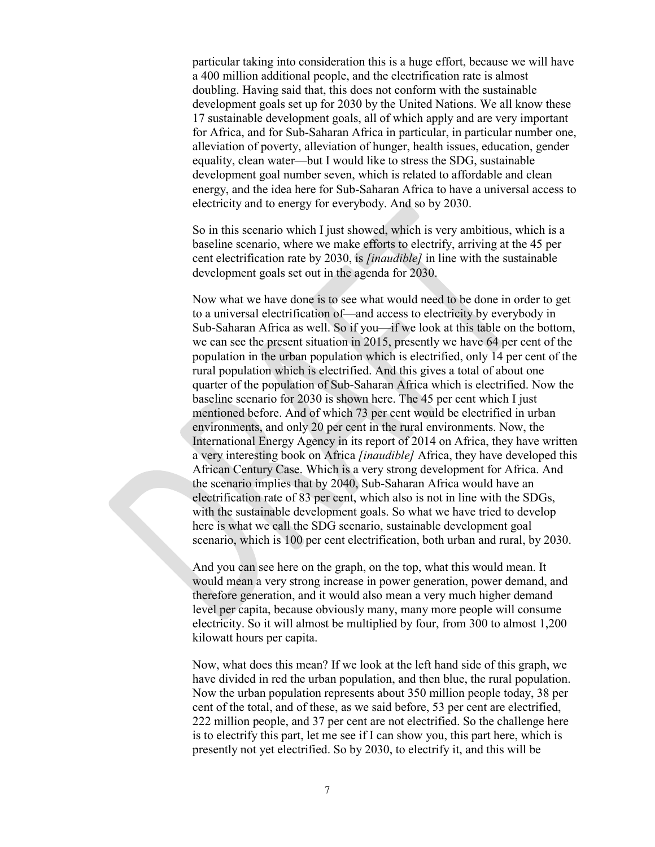particular taking into consideration this is a huge effort, because we will have a 400 million additional people, and the electrification rate is almost doubling. Having said that, this does not conform with the sustainable development goals set up for 2030 by the United Nations. We all know these 17 sustainable development goals, all of which apply and are very important for Africa, and for Sub-Saharan Africa in particular, in particular number one, alleviation of poverty, alleviation of hunger, health issues, education, gender equality, clean water—but I would like to stress the SDG, sustainable development goal number seven, which is related to affordable and clean energy, and the idea here for Sub-Saharan Africa to have a universal access to electricity and to energy for everybody. And so by 2030.

So in this scenario which I just showed, which is very ambitious, which is a baseline scenario, where we make efforts to electrify, arriving at the 45 per cent electrification rate by 2030, is *[inaudible]* in line with the sustainable development goals set out in the agenda for 2030.

Now what we have done is to see what would need to be done in order to get to a universal electrification of—and access to electricity by everybody in Sub-Saharan Africa as well. So if you—if we look at this table on the bottom, we can see the present situation in 2015, presently we have 64 per cent of the population in the urban population which is electrified, only 14 per cent of the rural population which is electrified. And this gives a total of about one quarter of the population of Sub-Saharan Africa which is electrified. Now the baseline scenario for 2030 is shown here. The 45 per cent which I just mentioned before. And of which 73 per cent would be electrified in urban environments, and only 20 per cent in the rural environments. Now, the International Energy Agency in its report of 2014 on Africa, they have written a very interesting book on Africa *[inaudible]* Africa, they have developed this African Century Case. Which is a very strong development for Africa. And the scenario implies that by 2040, Sub-Saharan Africa would have an electrification rate of 83 per cent, which also is not in line with the SDGs, with the sustainable development goals. So what we have tried to develop here is what we call the SDG scenario, sustainable development goal scenario, which is 100 per cent electrification, both urban and rural, by 2030.

And you can see here on the graph, on the top, what this would mean. It would mean a very strong increase in power generation, power demand, and therefore generation, and it would also mean a very much higher demand level per capita, because obviously many, many more people will consume electricity. So it will almost be multiplied by four, from 300 to almost 1,200 kilowatt hours per capita.

Now, what does this mean? If we look at the left hand side of this graph, we have divided in red the urban population, and then blue, the rural population. Now the urban population represents about 350 million people today, 38 per cent of the total, and of these, as we said before, 53 per cent are electrified, 222 million people, and 37 per cent are not electrified. So the challenge here is to electrify this part, let me see if I can show you, this part here, which is presently not yet electrified. So by 2030, to electrify it, and this will be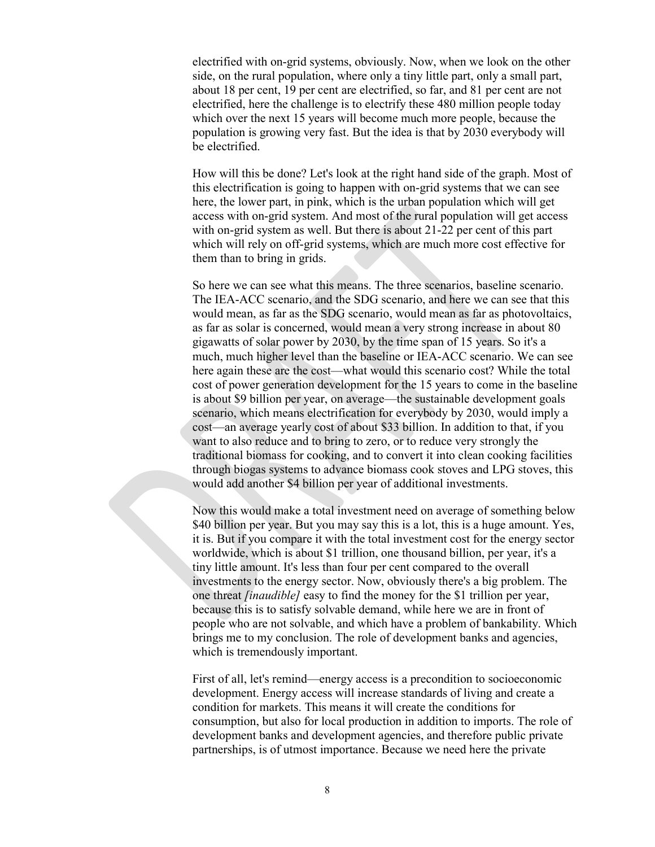electrified with on-grid systems, obviously. Now, when we look on the other side, on the rural population, where only a tiny little part, only a small part, about 18 per cent, 19 per cent are electrified, so far, and 81 per cent are not electrified, here the challenge is to electrify these 480 million people today which over the next 15 years will become much more people, because the population is growing very fast. But the idea is that by 2030 everybody will be electrified.

How will this be done? Let's look at the right hand side of the graph. Most of this electrification is going to happen with on-grid systems that we can see here, the lower part, in pink, which is the urban population which will get access with on-grid system. And most of the rural population will get access with on-grid system as well. But there is about 21-22 per cent of this part which will rely on off-grid systems, which are much more cost effective for them than to bring in grids.

So here we can see what this means. The three scenarios, baseline scenario. The IEA-ACC scenario, and the SDG scenario, and here we can see that this would mean, as far as the SDG scenario, would mean as far as photovoltaics, as far as solar is concerned, would mean a very strong increase in about 80 gigawatts of solar power by 2030, by the time span of 15 years. So it's a much, much higher level than the baseline or IEA-ACC scenario. We can see here again these are the cost—what would this scenario cost? While the total cost of power generation development for the 15 years to come in the baseline is about \$9 billion per year, on average—the sustainable development goals scenario, which means electrification for everybody by 2030, would imply a cost—an average yearly cost of about \$33 billion. In addition to that, if you want to also reduce and to bring to zero, or to reduce very strongly the traditional biomass for cooking, and to convert it into clean cooking facilities through biogas systems to advance biomass cook stoves and LPG stoves, this would add another \$4 billion per year of additional investments.

Now this would make a total investment need on average of something below \$40 billion per year. But you may say this is a lot, this is a huge amount. Yes, it is. But if you compare it with the total investment cost for the energy sector worldwide, which is about \$1 trillion, one thousand billion, per year, it's a tiny little amount. It's less than four per cent compared to the overall investments to the energy sector. Now, obviously there's a big problem. The one threat *[inaudible]* easy to find the money for the \$1 trillion per year, because this is to satisfy solvable demand, while here we are in front of people who are not solvable, and which have a problem of bankability. Which brings me to my conclusion. The role of development banks and agencies, which is tremendously important.

First of all, let's remind—energy access is a precondition to socioeconomic development. Energy access will increase standards of living and create a condition for markets. This means it will create the conditions for consumption, but also for local production in addition to imports. The role of development banks and development agencies, and therefore public private partnerships, is of utmost importance. Because we need here the private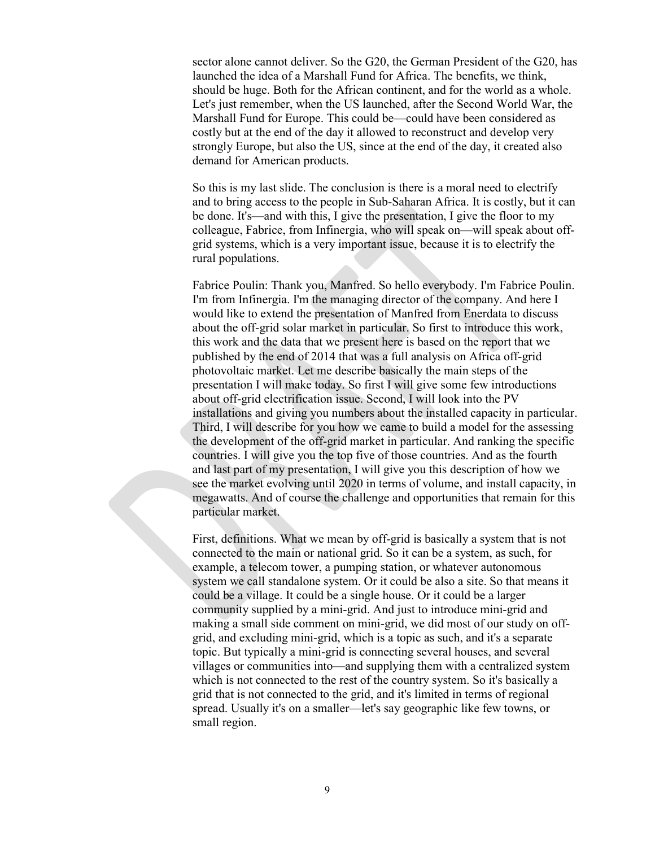sector alone cannot deliver. So the G20, the German President of the G20, has launched the idea of a Marshall Fund for Africa. The benefits, we think, should be huge. Both for the African continent, and for the world as a whole. Let's just remember, when the US launched, after the Second World War, the Marshall Fund for Europe. This could be—could have been considered as costly but at the end of the day it allowed to reconstruct and develop very strongly Europe, but also the US, since at the end of the day, it created also demand for American products.

So this is my last slide. The conclusion is there is a moral need to electrify and to bring access to the people in Sub-Saharan Africa. It is costly, but it can be done. It's—and with this, I give the presentation, I give the floor to my colleague, Fabrice, from Infinergia, who will speak on—will speak about offgrid systems, which is a very important issue, because it is to electrify the rural populations.

Fabrice Poulin: Thank you, Manfred. So hello everybody. I'm Fabrice Poulin. I'm from Infinergia. I'm the managing director of the company. And here I would like to extend the presentation of Manfred from Enerdata to discuss about the off-grid solar market in particular. So first to introduce this work, this work and the data that we present here is based on the report that we published by the end of 2014 that was a full analysis on Africa off-grid photovoltaic market. Let me describe basically the main steps of the presentation I will make today. So first I will give some few introductions about off-grid electrification issue. Second, I will look into the PV installations and giving you numbers about the installed capacity in particular. Third, I will describe for you how we came to build a model for the assessing the development of the off-grid market in particular. And ranking the specific countries. I will give you the top five of those countries. And as the fourth and last part of my presentation, I will give you this description of how we see the market evolving until 2020 in terms of volume, and install capacity, in megawatts. And of course the challenge and opportunities that remain for this particular market.

First, definitions. What we mean by off-grid is basically a system that is not connected to the main or national grid. So it can be a system, as such, for example, a telecom tower, a pumping station, or whatever autonomous system we call standalone system. Or it could be also a site. So that means it could be a village. It could be a single house. Or it could be a larger community supplied by a mini-grid. And just to introduce mini-grid and making a small side comment on mini-grid, we did most of our study on offgrid, and excluding mini-grid, which is a topic as such, and it's a separate topic. But typically a mini-grid is connecting several houses, and several villages or communities into—and supplying them with a centralized system which is not connected to the rest of the country system. So it's basically a grid that is not connected to the grid, and it's limited in terms of regional spread. Usually it's on a smaller—let's say geographic like few towns, or small region.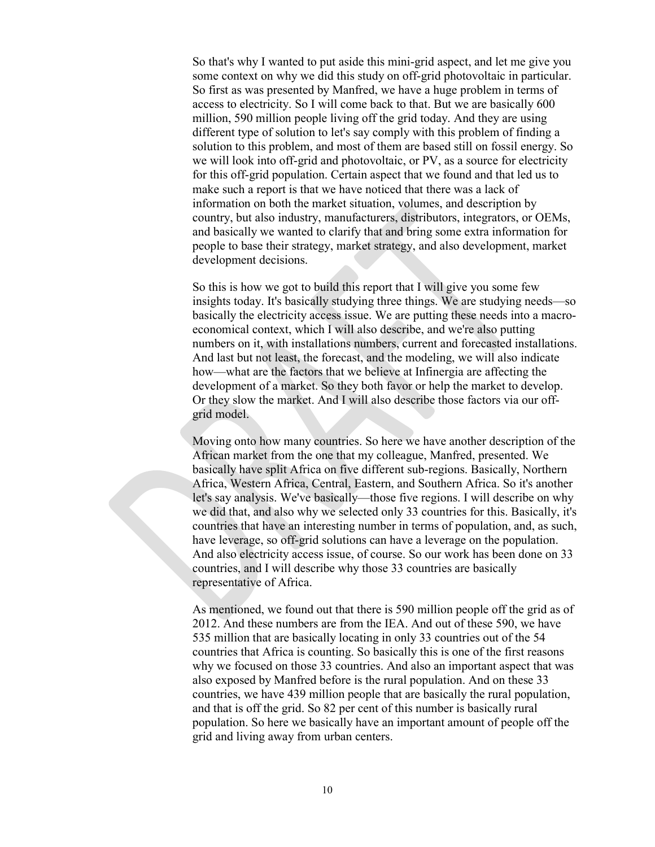So that's why I wanted to put aside this mini-grid aspect, and let me give you some context on why we did this study on off-grid photovoltaic in particular. So first as was presented by Manfred, we have a huge problem in terms of access to electricity. So I will come back to that. But we are basically 600 million, 590 million people living off the grid today. And they are using different type of solution to let's say comply with this problem of finding a solution to this problem, and most of them are based still on fossil energy. So we will look into off-grid and photovoltaic, or PV, as a source for electricity for this off-grid population. Certain aspect that we found and that led us to make such a report is that we have noticed that there was a lack of information on both the market situation, volumes, and description by country, but also industry, manufacturers, distributors, integrators, or OEMs, and basically we wanted to clarify that and bring some extra information for people to base their strategy, market strategy, and also development, market development decisions.

So this is how we got to build this report that I will give you some few insights today. It's basically studying three things. We are studying needs—so basically the electricity access issue. We are putting these needs into a macroeconomical context, which I will also describe, and we're also putting numbers on it, with installations numbers, current and forecasted installations. And last but not least, the forecast, and the modeling, we will also indicate how—what are the factors that we believe at Infinergia are affecting the development of a market. So they both favor or help the market to develop. Or they slow the market. And I will also describe those factors via our offgrid model.

Moving onto how many countries. So here we have another description of the African market from the one that my colleague, Manfred, presented. We basically have split Africa on five different sub-regions. Basically, Northern Africa, Western Africa, Central, Eastern, and Southern Africa. So it's another let's say analysis. We've basically—those five regions. I will describe on why we did that, and also why we selected only 33 countries for this. Basically, it's countries that have an interesting number in terms of population, and, as such, have leverage, so off-grid solutions can have a leverage on the population. And also electricity access issue, of course. So our work has been done on 33 countries, and I will describe why those 33 countries are basically representative of Africa.

As mentioned, we found out that there is 590 million people off the grid as of 2012. And these numbers are from the IEA. And out of these 590, we have 535 million that are basically locating in only 33 countries out of the 54 countries that Africa is counting. So basically this is one of the first reasons why we focused on those 33 countries. And also an important aspect that was also exposed by Manfred before is the rural population. And on these 33 countries, we have 439 million people that are basically the rural population, and that is off the grid. So 82 per cent of this number is basically rural population. So here we basically have an important amount of people off the grid and living away from urban centers.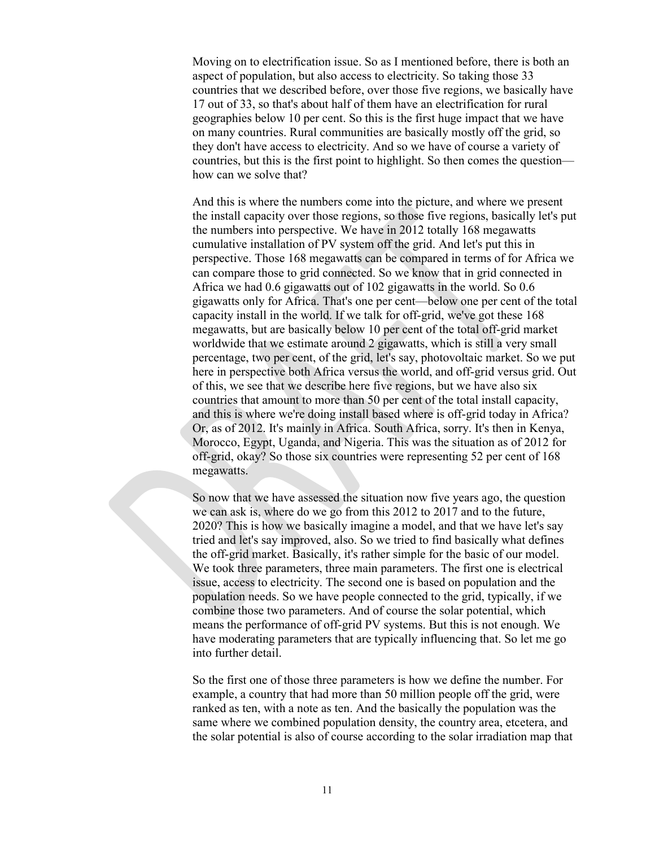Moving on to electrification issue. So as I mentioned before, there is both an aspect of population, but also access to electricity. So taking those 33 countries that we described before, over those five regions, we basically have 17 out of 33, so that's about half of them have an electrification for rural geographies below 10 per cent. So this is the first huge impact that we have on many countries. Rural communities are basically mostly off the grid, so they don't have access to electricity. And so we have of course a variety of countries, but this is the first point to highlight. So then comes the question how can we solve that?

And this is where the numbers come into the picture, and where we present the install capacity over those regions, so those five regions, basically let's put the numbers into perspective. We have in 2012 totally 168 megawatts cumulative installation of PV system off the grid. And let's put this in perspective. Those 168 megawatts can be compared in terms of for Africa we can compare those to grid connected. So we know that in grid connected in Africa we had 0.6 gigawatts out of 102 gigawatts in the world. So 0.6 gigawatts only for Africa. That's one per cent—below one per cent of the total capacity install in the world. If we talk for off-grid, we've got these 168 megawatts, but are basically below 10 per cent of the total off-grid market worldwide that we estimate around 2 gigawatts, which is still a very small percentage, two per cent, of the grid, let's say, photovoltaic market. So we put here in perspective both Africa versus the world, and off-grid versus grid. Out of this, we see that we describe here five regions, but we have also six countries that amount to more than 50 per cent of the total install capacity, and this is where we're doing install based where is off-grid today in Africa? Or, as of 2012. It's mainly in Africa. South Africa, sorry. It's then in Kenya, Morocco, Egypt, Uganda, and Nigeria. This was the situation as of 2012 for off-grid, okay? So those six countries were representing 52 per cent of 168 megawatts.

So now that we have assessed the situation now five years ago, the question we can ask is, where do we go from this 2012 to 2017 and to the future, 2020? This is how we basically imagine a model, and that we have let's say tried and let's say improved, also. So we tried to find basically what defines the off-grid market. Basically, it's rather simple for the basic of our model. We took three parameters, three main parameters. The first one is electrical issue, access to electricity. The second one is based on population and the population needs. So we have people connected to the grid, typically, if we combine those two parameters. And of course the solar potential, which means the performance of off-grid PV systems. But this is not enough. We have moderating parameters that are typically influencing that. So let me go into further detail.

So the first one of those three parameters is how we define the number. For example, a country that had more than 50 million people off the grid, were ranked as ten, with a note as ten. And the basically the population was the same where we combined population density, the country area, etcetera, and the solar potential is also of course according to the solar irradiation map that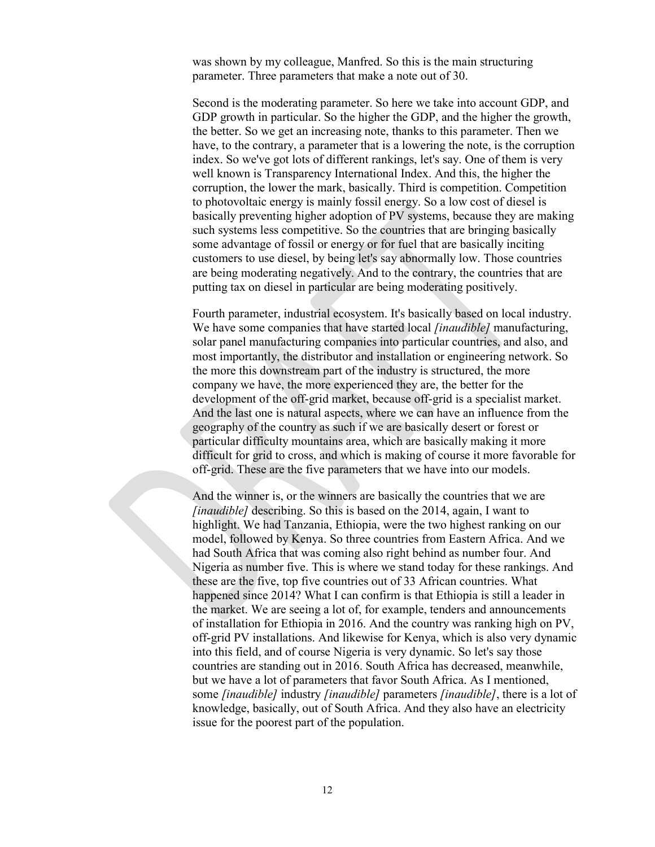was shown by my colleague, Manfred. So this is the main structuring parameter. Three parameters that make a note out of 30.

Second is the moderating parameter. So here we take into account GDP, and GDP growth in particular. So the higher the GDP, and the higher the growth, the better. So we get an increasing note, thanks to this parameter. Then we have, to the contrary, a parameter that is a lowering the note, is the corruption index. So we've got lots of different rankings, let's say. One of them is very well known is Transparency International Index. And this, the higher the corruption, the lower the mark, basically. Third is competition. Competition to photovoltaic energy is mainly fossil energy. So a low cost of diesel is basically preventing higher adoption of PV systems, because they are making such systems less competitive. So the countries that are bringing basically some advantage of fossil or energy or for fuel that are basically inciting customers to use diesel, by being let's say abnormally low. Those countries are being moderating negatively. And to the contrary, the countries that are putting tax on diesel in particular are being moderating positively.

Fourth parameter, industrial ecosystem. It's basically based on local industry. We have some companies that have started local *[inaudible]* manufacturing, solar panel manufacturing companies into particular countries, and also, and most importantly, the distributor and installation or engineering network. So the more this downstream part of the industry is structured, the more company we have, the more experienced they are, the better for the development of the off-grid market, because off-grid is a specialist market. And the last one is natural aspects, where we can have an influence from the geography of the country as such if we are basically desert or forest or particular difficulty mountains area, which are basically making it more difficult for grid to cross, and which is making of course it more favorable for off-grid. These are the five parameters that we have into our models.

And the winner is, or the winners are basically the countries that we are *[inaudible]* describing. So this is based on the 2014, again, I want to highlight. We had Tanzania, Ethiopia, were the two highest ranking on our model, followed by Kenya. So three countries from Eastern Africa. And we had South Africa that was coming also right behind as number four. And Nigeria as number five. This is where we stand today for these rankings. And these are the five, top five countries out of 33 African countries. What happened since 2014? What I can confirm is that Ethiopia is still a leader in the market. We are seeing a lot of, for example, tenders and announcements of installation for Ethiopia in 2016. And the country was ranking high on PV, off-grid PV installations. And likewise for Kenya, which is also very dynamic into this field, and of course Nigeria is very dynamic. So let's say those countries are standing out in 2016. South Africa has decreased, meanwhile, but we have a lot of parameters that favor South Africa. As I mentioned, some *[inaudible]* industry *[inaudible]* parameters *[inaudible]*, there is a lot of knowledge, basically, out of South Africa. And they also have an electricity issue for the poorest part of the population.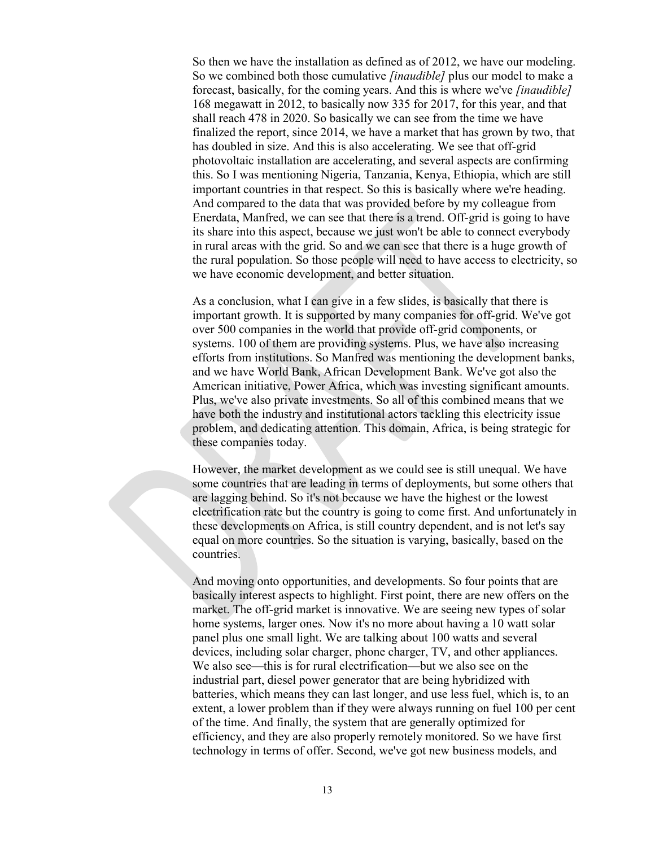So then we have the installation as defined as of 2012, we have our modeling. So we combined both those cumulative *[inaudible]* plus our model to make a forecast, basically, for the coming years. And this is where we've *[inaudible]* 168 megawatt in 2012, to basically now 335 for 2017, for this year, and that shall reach 478 in 2020. So basically we can see from the time we have finalized the report, since 2014, we have a market that has grown by two, that has doubled in size. And this is also accelerating. We see that off-grid photovoltaic installation are accelerating, and several aspects are confirming this. So I was mentioning Nigeria, Tanzania, Kenya, Ethiopia, which are still important countries in that respect. So this is basically where we're heading. And compared to the data that was provided before by my colleague from Enerdata, Manfred, we can see that there is a trend. Off-grid is going to have its share into this aspect, because we just won't be able to connect everybody in rural areas with the grid. So and we can see that there is a huge growth of the rural population. So those people will need to have access to electricity, so we have economic development, and better situation.

As a conclusion, what I can give in a few slides, is basically that there is important growth. It is supported by many companies for off-grid. We've got over 500 companies in the world that provide off-grid components, or systems. 100 of them are providing systems. Plus, we have also increasing efforts from institutions. So Manfred was mentioning the development banks, and we have World Bank, African Development Bank. We've got also the American initiative, Power Africa, which was investing significant amounts. Plus, we've also private investments. So all of this combined means that we have both the industry and institutional actors tackling this electricity issue problem, and dedicating attention. This domain, Africa, is being strategic for these companies today.

However, the market development as we could see is still unequal. We have some countries that are leading in terms of deployments, but some others that are lagging behind. So it's not because we have the highest or the lowest electrification rate but the country is going to come first. And unfortunately in these developments on Africa, is still country dependent, and is not let's say equal on more countries. So the situation is varying, basically, based on the countries.

And moving onto opportunities, and developments. So four points that are basically interest aspects to highlight. First point, there are new offers on the market. The off-grid market is innovative. We are seeing new types of solar home systems, larger ones. Now it's no more about having a 10 watt solar panel plus one small light. We are talking about 100 watts and several devices, including solar charger, phone charger, TV, and other appliances. We also see—this is for rural electrification—but we also see on the industrial part, diesel power generator that are being hybridized with batteries, which means they can last longer, and use less fuel, which is, to an extent, a lower problem than if they were always running on fuel 100 per cent of the time. And finally, the system that are generally optimized for efficiency, and they are also properly remotely monitored. So we have first technology in terms of offer. Second, we've got new business models, and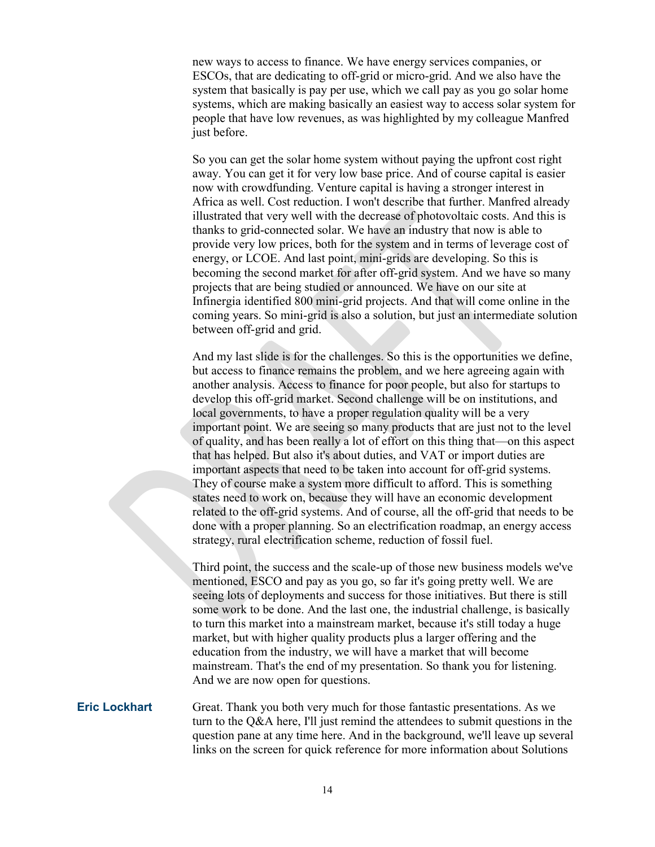new ways to access to finance. We have energy services companies, or ESCOs, that are dedicating to off-grid or micro-grid. And we also have the system that basically is pay per use, which we call pay as you go solar home systems, which are making basically an easiest way to access solar system for people that have low revenues, as was highlighted by my colleague Manfred just before.

So you can get the solar home system without paying the upfront cost right away. You can get it for very low base price. And of course capital is easier now with crowdfunding. Venture capital is having a stronger interest in Africa as well. Cost reduction. I won't describe that further. Manfred already illustrated that very well with the decrease of photovoltaic costs. And this is thanks to grid-connected solar. We have an industry that now is able to provide very low prices, both for the system and in terms of leverage cost of energy, or LCOE. And last point, mini-grids are developing. So this is becoming the second market for after off-grid system. And we have so many projects that are being studied or announced. We have on our site at Infinergia identified 800 mini-grid projects. And that will come online in the coming years. So mini-grid is also a solution, but just an intermediate solution between off-grid and grid.

And my last slide is for the challenges. So this is the opportunities we define, but access to finance remains the problem, and we here agreeing again with another analysis. Access to finance for poor people, but also for startups to develop this off-grid market. Second challenge will be on institutions, and local governments, to have a proper regulation quality will be a very important point. We are seeing so many products that are just not to the level of quality, and has been really a lot of effort on this thing that—on this aspect that has helped. But also it's about duties, and VAT or import duties are important aspects that need to be taken into account for off-grid systems. They of course make a system more difficult to afford. This is something states need to work on, because they will have an economic development related to the off-grid systems. And of course, all the off-grid that needs to be done with a proper planning. So an electrification roadmap, an energy access strategy, rural electrification scheme, reduction of fossil fuel.

Third point, the success and the scale-up of those new business models we've mentioned, ESCO and pay as you go, so far it's going pretty well. We are seeing lots of deployments and success for those initiatives. But there is still some work to be done. And the last one, the industrial challenge, is basically to turn this market into a mainstream market, because it's still today a huge market, but with higher quality products plus a larger offering and the education from the industry, we will have a market that will become mainstream. That's the end of my presentation. So thank you for listening. And we are now open for questions.

### **Eric Lockhart** Great. Thank you both very much for those fantastic presentations. As we turn to the Q&A here, I'll just remind the attendees to submit questions in the question pane at any time here. And in the background, we'll leave up several links on the screen for quick reference for more information about Solutions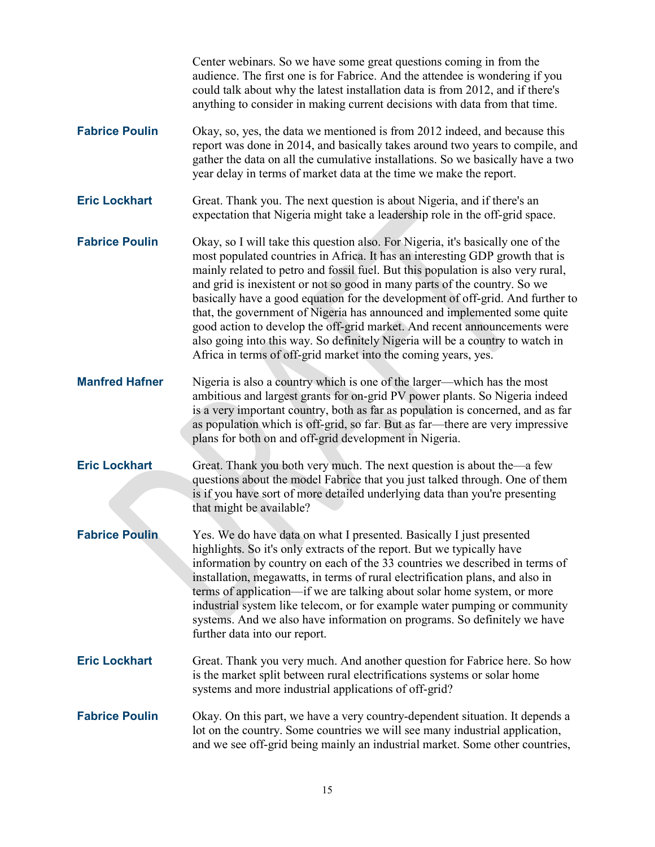|                       | Center webinars. So we have some great questions coming in from the<br>audience. The first one is for Fabrice. And the attendee is wondering if you<br>could talk about why the latest installation data is from 2012, and if there's<br>anything to consider in making current decisions with data from that time.                                                                                                                                                                                                                                                                                                                                                                                                            |
|-----------------------|--------------------------------------------------------------------------------------------------------------------------------------------------------------------------------------------------------------------------------------------------------------------------------------------------------------------------------------------------------------------------------------------------------------------------------------------------------------------------------------------------------------------------------------------------------------------------------------------------------------------------------------------------------------------------------------------------------------------------------|
| <b>Fabrice Poulin</b> | Okay, so, yes, the data we mentioned is from 2012 indeed, and because this<br>report was done in 2014, and basically takes around two years to compile, and<br>gather the data on all the cumulative installations. So we basically have a two<br>year delay in terms of market data at the time we make the report.                                                                                                                                                                                                                                                                                                                                                                                                           |
| <b>Eric Lockhart</b>  | Great. Thank you. The next question is about Nigeria, and if there's an<br>expectation that Nigeria might take a leadership role in the off-grid space.                                                                                                                                                                                                                                                                                                                                                                                                                                                                                                                                                                        |
| <b>Fabrice Poulin</b> | Okay, so I will take this question also. For Nigeria, it's basically one of the<br>most populated countries in Africa. It has an interesting GDP growth that is<br>mainly related to petro and fossil fuel. But this population is also very rural,<br>and grid is inexistent or not so good in many parts of the country. So we<br>basically have a good equation for the development of off-grid. And further to<br>that, the government of Nigeria has announced and implemented some quite<br>good action to develop the off-grid market. And recent announcements were<br>also going into this way. So definitely Nigeria will be a country to watch in<br>Africa in terms of off-grid market into the coming years, yes. |
| <b>Manfred Hafner</b> | Nigeria is also a country which is one of the larger—which has the most<br>ambitious and largest grants for on-grid PV power plants. So Nigeria indeed<br>is a very important country, both as far as population is concerned, and as far<br>as population which is off-grid, so far. But as far—there are very impressive<br>plans for both on and off-grid development in Nigeria.                                                                                                                                                                                                                                                                                                                                           |
| <b>Eric Lockhart</b>  | Great. Thank you both very much. The next question is about the—a few<br>questions about the model Fabrice that you just talked through. One of them<br>is if you have sort of more detailed underlying data than you're presenting<br>that might be available?                                                                                                                                                                                                                                                                                                                                                                                                                                                                |
| <b>Fabrice Poulin</b> | Yes. We do have data on what I presented. Basically I just presented<br>highlights. So it's only extracts of the report. But we typically have<br>information by country on each of the 33 countries we described in terms of<br>installation, megawatts, in terms of rural electrification plans, and also in<br>terms of application—if we are talking about solar home system, or more<br>industrial system like telecom, or for example water pumping or community<br>systems. And we also have information on programs. So definitely we have<br>further data into our report.                                                                                                                                            |
| <b>Eric Lockhart</b>  | Great. Thank you very much. And another question for Fabrice here. So how<br>is the market split between rural electrifications systems or solar home<br>systems and more industrial applications of off-grid?                                                                                                                                                                                                                                                                                                                                                                                                                                                                                                                 |
| <b>Fabrice Poulin</b> | Okay. On this part, we have a very country-dependent situation. It depends a<br>lot on the country. Some countries we will see many industrial application,<br>and we see off-grid being mainly an industrial market. Some other countries,                                                                                                                                                                                                                                                                                                                                                                                                                                                                                    |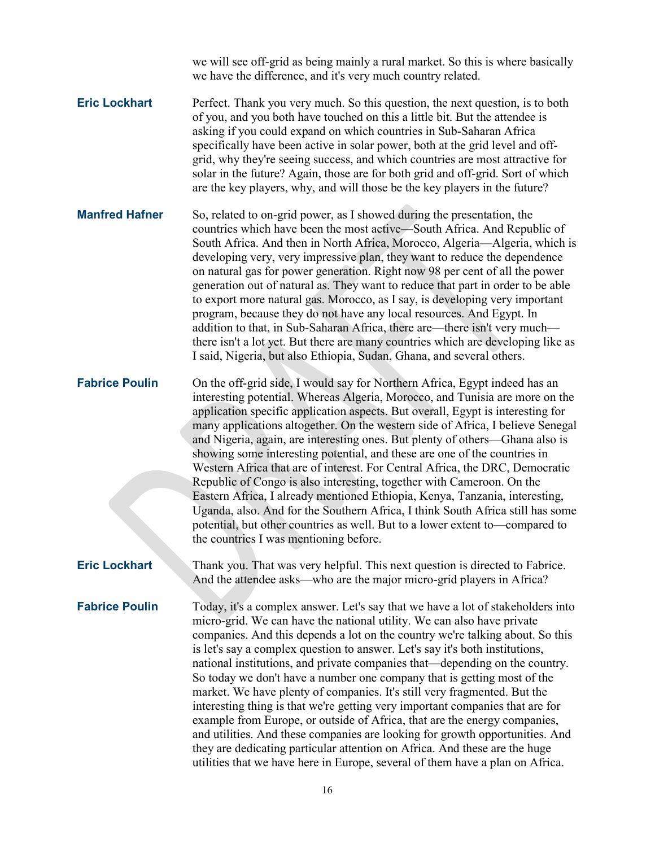we will see off-grid as being mainly a rural market. So this is where basically we have the difference, and it's very much country related.

**Eric Lockhart** Perfect. Thank you very much. So this question, the next question, is to both of you, and you both have touched on this a little bit. But the attendee is asking if you could expand on which countries in Sub-Saharan Africa specifically have been active in solar power, both at the grid level and offgrid, why they're seeing success, and which countries are most attractive for solar in the future? Again, those are for both grid and off-grid. Sort of which are the key players, why, and will those be the key players in the future?

**Manfred Hafner** So, related to on-grid power, as I showed during the presentation, the countries which have been the most active—South Africa. And Republic of South Africa. And then in North Africa, Morocco, Algeria—Algeria, which is developing very, very impressive plan, they want to reduce the dependence on natural gas for power generation. Right now 98 per cent of all the power generation out of natural as. They want to reduce that part in order to be able to export more natural gas. Morocco, as I say, is developing very important program, because they do not have any local resources. And Egypt. In addition to that, in Sub-Saharan Africa, there are—there isn't very much there isn't a lot yet. But there are many countries which are developing like as I said, Nigeria, but also Ethiopia, Sudan, Ghana, and several others.

**Fabrice Poulin** On the off-grid side, I would say for Northern Africa, Egypt indeed has an interesting potential. Whereas Algeria, Morocco, and Tunisia are more on the application specific application aspects. But overall, Egypt is interesting for many applications altogether. On the western side of Africa, I believe Senegal and Nigeria, again, are interesting ones. But plenty of others—Ghana also is showing some interesting potential, and these are one of the countries in Western Africa that are of interest. For Central Africa, the DRC, Democratic Republic of Congo is also interesting, together with Cameroon. On the Eastern Africa, I already mentioned Ethiopia, Kenya, Tanzania, interesting, Uganda, also. And for the Southern Africa, I think South Africa still has some potential, but other countries as well. But to a lower extent to—compared to the countries I was mentioning before.

**Eric Lockhart** Thank you. That was very helpful. This next question is directed to Fabrice. And the attendee asks—who are the major micro-grid players in Africa?

**Fabrice Poulin** Today, it's a complex answer. Let's say that we have a lot of stakeholders into micro-grid. We can have the national utility. We can also have private companies. And this depends a lot on the country we're talking about. So this is let's say a complex question to answer. Let's say it's both institutions, national institutions, and private companies that—depending on the country. So today we don't have a number one company that is getting most of the market. We have plenty of companies. It's still very fragmented. But the interesting thing is that we're getting very important companies that are for example from Europe, or outside of Africa, that are the energy companies, and utilities. And these companies are looking for growth opportunities. And they are dedicating particular attention on Africa. And these are the huge utilities that we have here in Europe, several of them have a plan on Africa.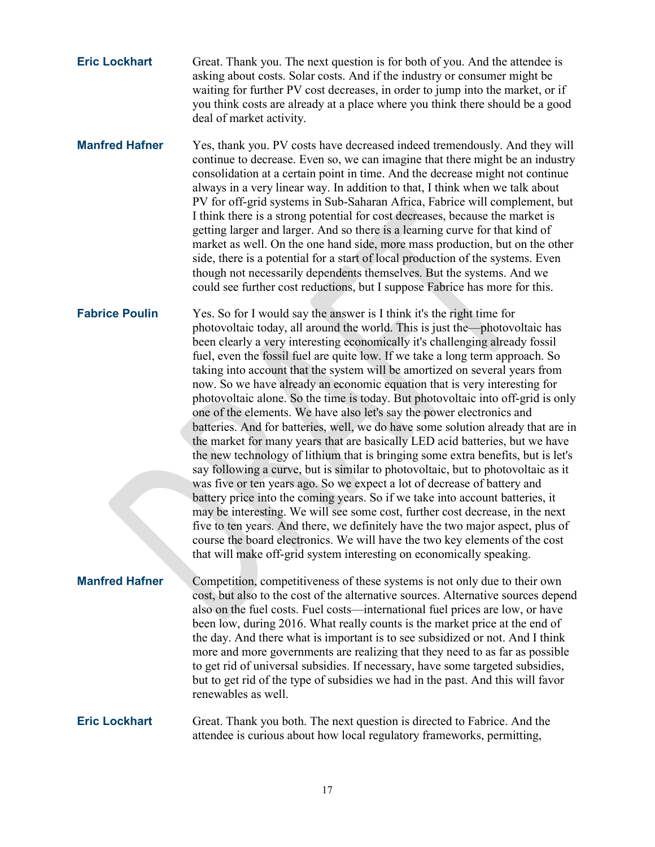- **Eric Lockhart** Great. Thank you. The next question is for both of you. And the attendee is asking about costs. Solar costs. And if the industry or consumer might be waiting for further PV cost decreases, in order to jump into the market, or if you think costs are already at a place where you think there should be a good deal of market activity.
- **Manfred Hafner** Yes, thank you. PV costs have decreased indeed tremendously. And they will continue to decrease. Even so, we can imagine that there might be an industry consolidation at a certain point in time. And the decrease might not continue always in a very linear way. In addition to that, I think when we talk about PV for off-grid systems in Sub-Saharan Africa, Fabrice will complement, but I think there is a strong potential for cost decreases, because the market is getting larger and larger. And so there is a learning curve for that kind of market as well. On the one hand side, more mass production, but on the other side, there is a potential for a start of local production of the systems. Even though not necessarily dependents themselves. But the systems. And we could see further cost reductions, but I suppose Fabrice has more for this.

**Fabrice Poulin** Yes. So for I would say the answer is I think it's the right time for photovoltaic today, all around the world. This is just the—photovoltaic has been clearly a very interesting economically it's challenging already fossil fuel, even the fossil fuel are quite low. If we take a long term approach. So taking into account that the system will be amortized on several years from now. So we have already an economic equation that is very interesting for photovoltaic alone. So the time is today. But photovoltaic into off-grid is only one of the elements. We have also let's say the power electronics and batteries. And for batteries, well, we do have some solution already that are in the market for many years that are basically LED acid batteries, but we have the new technology of lithium that is bringing some extra benefits, but is let's say following a curve, but is similar to photovoltaic, but to photovoltaic as it was five or ten years ago. So we expect a lot of decrease of battery and battery price into the coming years. So if we take into account batteries, it may be interesting. We will see some cost, further cost decrease, in the next five to ten years. And there, we definitely have the two major aspect, plus of course the board electronics. We will have the two key elements of the cost that will make off-grid system interesting on economically speaking.

**Manfred Hafner** Competition, competitiveness of these systems is not only due to their own cost, but also to the cost of the alternative sources. Alternative sources depend also on the fuel costs. Fuel costs—international fuel prices are low, or have been low, during 2016. What really counts is the market price at the end of the day. And there what is important is to see subsidized or not. And I think more and more governments are realizing that they need to as far as possible to get rid of universal subsidies. If necessary, have some targeted subsidies, but to get rid of the type of subsidies we had in the past. And this will favor renewables as well.

**Eric Lockhart** Great. Thank you both. The next question is directed to Fabrice. And the attendee is curious about how local regulatory frameworks, permitting,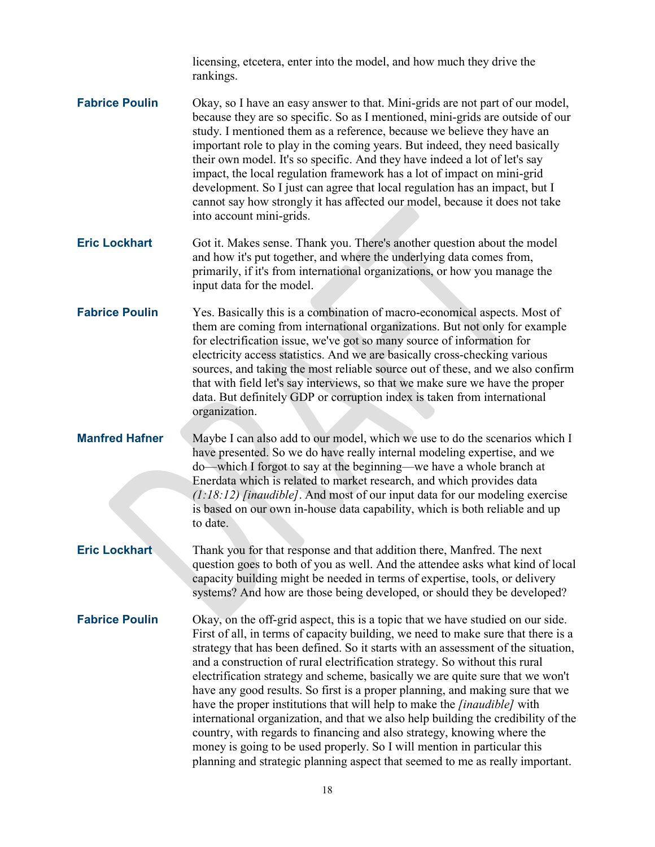licensing, etcetera, enter into the model, and how much they drive the rankings.

- **Fabrice Poulin** Okay, so I have an easy answer to that. Mini-grids are not part of our model, because they are so specific. So as I mentioned, mini-grids are outside of our study. I mentioned them as a reference, because we believe they have an important role to play in the coming years. But indeed, they need basically their own model. It's so specific. And they have indeed a lot of let's say impact, the local regulation framework has a lot of impact on mini-grid development. So I just can agree that local regulation has an impact, but I cannot say how strongly it has affected our model, because it does not take into account mini-grids.
- **Eric Lockhart** Got it. Makes sense. Thank you. There's another question about the model and how it's put together, and where the underlying data comes from, primarily, if it's from international organizations, or how you manage the input data for the model.
- **Fabrice Poulin** Yes. Basically this is a combination of macro-economical aspects. Most of them are coming from international organizations. But not only for example for electrification issue, we've got so many source of information for electricity access statistics. And we are basically cross-checking various sources, and taking the most reliable source out of these, and we also confirm that with field let's say interviews, so that we make sure we have the proper data. But definitely GDP or corruption index is taken from international organization.
- **Manfred Hafner** Maybe I can also add to our model, which we use to do the scenarios which I have presented. So we do have really internal modeling expertise, and we do—which I forgot to say at the beginning—we have a whole branch at Enerdata which is related to market research, and which provides data *(1:18:12) [inaudible]*. And most of our input data for our modeling exercise is based on our own in-house data capability, which is both reliable and up to date.
	- **Eric Lockhart** Thank you for that response and that addition there, Manfred. The next question goes to both of you as well. And the attendee asks what kind of local capacity building might be needed in terms of expertise, tools, or delivery systems? And how are those being developed, or should they be developed?

**Fabrice Poulin** Okay, on the off-grid aspect, this is a topic that we have studied on our side. First of all, in terms of capacity building, we need to make sure that there is a strategy that has been defined. So it starts with an assessment of the situation, and a construction of rural electrification strategy. So without this rural electrification strategy and scheme, basically we are quite sure that we won't have any good results. So first is a proper planning, and making sure that we have the proper institutions that will help to make the *[inaudible]* with international organization, and that we also help building the credibility of the country, with regards to financing and also strategy, knowing where the money is going to be used properly. So I will mention in particular this planning and strategic planning aspect that seemed to me as really important.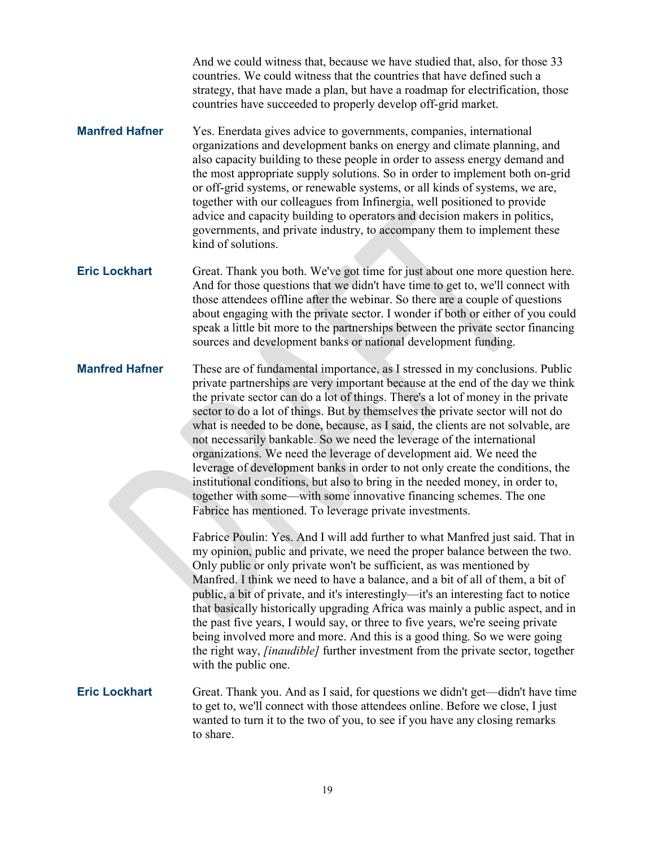And we could witness that, because we have studied that, also, for those 33 countries. We could witness that the countries that have defined such a strategy, that have made a plan, but have a roadmap for electrification, those countries have succeeded to properly develop off-grid market.

- **Manfred Hafner** Yes. Enerdata gives advice to governments, companies, international organizations and development banks on energy and climate planning, and also capacity building to these people in order to assess energy demand and the most appropriate supply solutions. So in order to implement both on-grid or off-grid systems, or renewable systems, or all kinds of systems, we are, together with our colleagues from Infinergia, well positioned to provide advice and capacity building to operators and decision makers in politics, governments, and private industry, to accompany them to implement these kind of solutions.
- **Eric Lockhart** Great. Thank you both. We've got time for just about one more question here. And for those questions that we didn't have time to get to, we'll connect with those attendees offline after the webinar. So there are a couple of questions about engaging with the private sector. I wonder if both or either of you could speak a little bit more to the partnerships between the private sector financing sources and development banks or national development funding.
- **Manfred Hafner** These are of fundamental importance, as I stressed in my conclusions. Public private partnerships are very important because at the end of the day we think the private sector can do a lot of things. There's a lot of money in the private sector to do a lot of things. But by themselves the private sector will not do what is needed to be done, because, as I said, the clients are not solvable, are not necessarily bankable. So we need the leverage of the international organizations. We need the leverage of development aid. We need the leverage of development banks in order to not only create the conditions, the institutional conditions, but also to bring in the needed money, in order to, together with some—with some innovative financing schemes. The one Fabrice has mentioned. To leverage private investments.

Fabrice Poulin: Yes. And I will add further to what Manfred just said. That in my opinion, public and private, we need the proper balance between the two. Only public or only private won't be sufficient, as was mentioned by Manfred. I think we need to have a balance, and a bit of all of them, a bit of public, a bit of private, and it's interestingly—it's an interesting fact to notice that basically historically upgrading Africa was mainly a public aspect, and in the past five years, I would say, or three to five years, we're seeing private being involved more and more. And this is a good thing. So we were going the right way, *[inaudible]* further investment from the private sector, together with the public one.

**Eric Lockhart** Great. Thank you. And as I said, for questions we didn't get—didn't have time to get to, we'll connect with those attendees online. Before we close, I just wanted to turn it to the two of you, to see if you have any closing remarks to share.